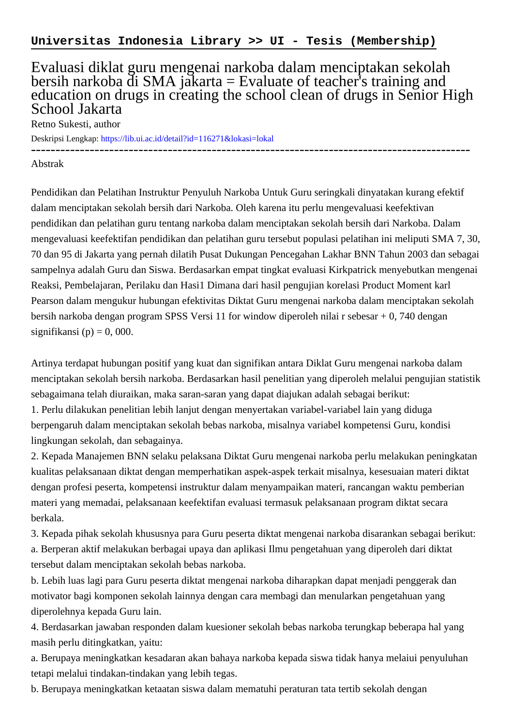## Evaluasi diklat guru mengenai narkoba dalam menciptakan sekolah bersih narkoba di SMA jakarta = Evaluate of teacher's training and education on drugs in creating the school clean of drugs in Senior High School Jakarta

Retno Sukesti, author

Deskripsi Lengkap:<https://lib.ui.ac.id/detail?id=116271&lokasi=lokal>

------------------------------------------------------------------------------------------

## Abstrak

Pendidikan dan Pelatihan Instruktur Penyuluh Narkoba Untuk Guru seringkali dinyatakan kurang efektif dalam menciptakan sekolah bersih dari Narkoba. Oleh karena itu perlu mengevaluasi keefektivan pendidikan dan pelatihan guru tentang narkoba dalam menciptakan sekolah bersih dari Narkoba. Dalam mengevaluasi keefektifan pendidikan dan pelatihan guru tersebut populasi pelatihan ini meliputi SMA 7, 30, 70 dan 95 di Jakarta yang pernah dilatih Pusat Dukungan Pencegahan Lakhar BNN Tahun 2003 dan sebagai sampelnya adalah Guru dan Siswa. Berdasarkan empat tingkat evaluasi Kirkpatrick menyebutkan mengenai Reaksi, Pembelajaran, Perilaku dan Hasi1 Dimana dari hasil pengujian korelasi Product Moment karl Pearson dalam mengukur hubungan efektivitas Diktat Guru mengenai narkoba dalam menciptakan sekolah bersih narkoba dengan program SPSS Versi 11 for window diperoleh nilai r sebesar + 0, 740 dengan signifikansi  $(p) = 0$ , 000.

Artinya terdapat hubungan positif yang kuat dan signifikan antara Diklat Guru mengenai narkoba dalam menciptakan sekolah bersih narkoba. Berdasarkan hasil penelitian yang diperoleh melalui pengujian statistik sebagaimana telah diuraikan, maka saran-saran yang dapat diajukan adalah sebagai berikut:

1. Perlu dilakukan penelitian lebih lanjut dengan menyertakan variabel-variabel lain yang diduga berpengaruh dalam menciptakan sekolah bebas narkoba, misalnya variabel kompetensi Guru, kondisi lingkungan sekolah, dan sebagainya.

2. Kepada Manajemen BNN selaku pelaksana Diktat Guru mengenai narkoba perlu melakukan peningkatan kualitas pelaksanaan diktat dengan memperhatikan aspek-aspek terkait misalnya, kesesuaian materi diktat dengan profesi peserta, kompetensi instruktur dalam menyampaikan materi, rancangan waktu pemberian materi yang memadai, pelaksanaan keefektifan evaluasi termasuk pelaksanaan program diktat secara berkala.

3. Kepada pihak sekolah khususnya para Guru peserta diktat mengenai narkoba disarankan sebagai berikut: a. Berperan aktif melakukan berbagai upaya dan aplikasi Ilmu pengetahuan yang diperoleh dari diktat tersebut dalam menciptakan sekolah bebas narkoba.

b. Lebih luas lagi para Guru peserta diktat mengenai narkoba diharapkan dapat menjadi penggerak dan motivator bagi komponen sekolah lainnya dengan cara membagi dan menularkan pengetahuan yang diperolehnya kepada Guru lain.

4. Berdasarkan jawaban responden dalam kuesioner sekolah bebas narkoba terungkap beberapa hal yang masih perlu ditingkatkan, yaitu:

a. Berupaya meningkatkan kesadaran akan bahaya narkoba kepada siswa tidak hanya melaiui penyuluhan tetapi melalui tindakan-tindakan yang lebih tegas.

b. Berupaya meningkatkan ketaatan siswa dalam mematuhi peraturan tata tertib sekolah dengan